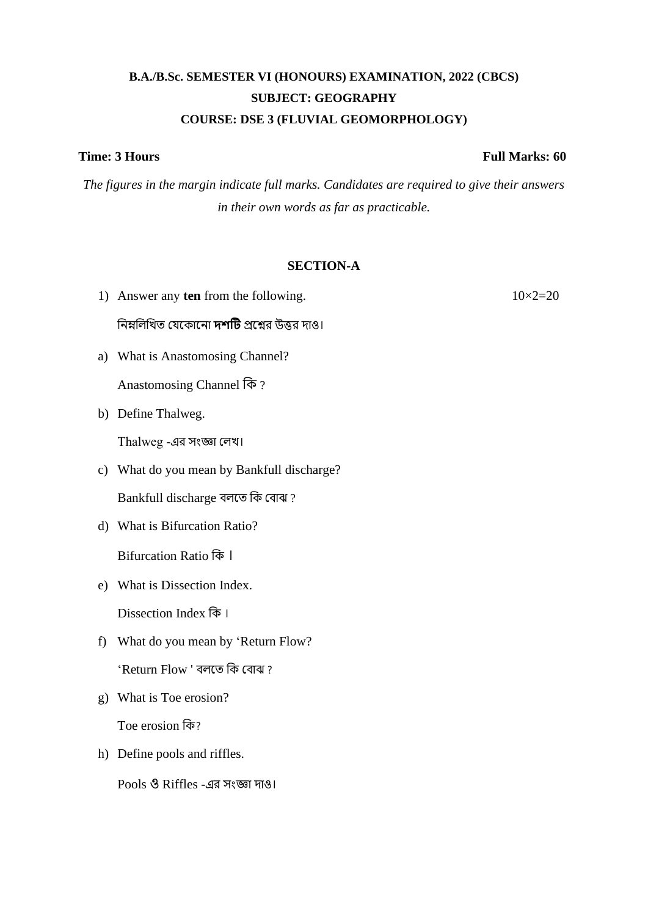# **B.A./B.Sc. SEMESTER VI (HONOURS) EXAMINATION, 2022 (CBCS) SUBJECT: GEOGRAPHY COURSE: DSE 3 (FLUVIAL GEOMORPHOLOGY)**

*The figures in the margin indicate full marks. Candidates are required to give their answers in their own words as far as practicable.*

#### **SECTION-A**

- 1) Answer any **ten** from the following.  $10 \times 2 = 20$ নিম্নলিখিত যেকোনো **দশটি** প্রশ্নের উত্তর দাও। a) What is Anastomosing Channel?
- 

Anastomosing Channel কি?

b) Define Thalweg.

Thalweg -এর সংজ্ঞা লেখ।

c) What do you mean by Bankfull discharge?

Bankfull discharge বলতে কি বোঝ?

d) What is Bifurcation Ratio?

Bifurcation Ratio কি।

e) What is Dissection Index.

Dissection Index কি।

- f) What do you mean by 'Return Flow? 'Return Flow ' বেতে কি লবাঝ ?
- g) What is Toe erosion?

Toe erosion কি

h) Define pools and riffles.

Pools ও Riffles -এর সংজ্ঞো দোও।

### **Time: 3 Hours Full Marks: 60**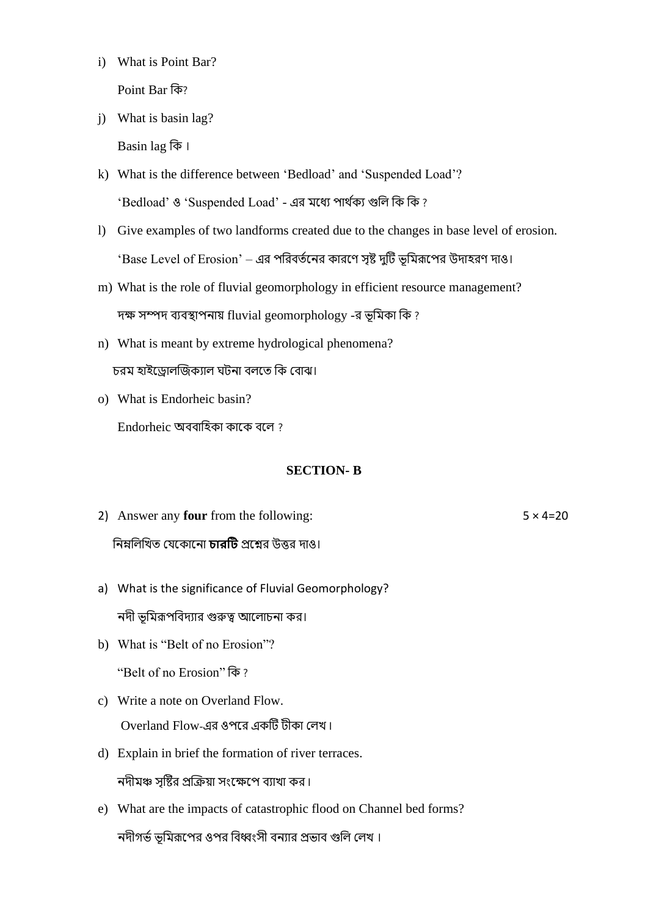i) What is Point Bar?

Point Bar কি?

j) What is basin lag?

Basin lag কি ।

- k) What is the difference between 'Bedload' and 'Suspended Load'? 'Bedload' ও 'Suspended Load' - এর মধ্যে পার্থক্য গুলি কি কি ?
- l) Give examples of two landforms created due to the changes in base level of erosion. 'Base Level of Erosion' – এর পরিবর্তনের কারণে সৃষ্ট দুটি ভূমিরূপের উদাহরণ দাও।
- m) What is the role of fluvial geomorphology in efficient resource management? দক্ষ সম্পদ ব্যবস্থাপনায় fluvial geomorphology -র ভূমিকা কি ?
- n) What is meant by extreme hydrological phenomena? চরম হাইড্রোলজিক্যাল ঘটনা বলতে কি বোঝ।
- o) What is Endorheic basin? Endorheic অববাহিকা কাকে বলে?

# **SECTION- B**

- 2) Answer any **four** from the following: 5  $\times$  4=20 নিম্নলিখিত যেকোনো **চারটি** প্রশ্নের উত্তর দাও।
- a) What is the significance of Fluvial Geomorphology? নদী ভূমিরূপবিদ্যার গুরুত্ব আলোচনা কর।
- b) What is "Belt of no Erosion"?

"Belt of no Erosion" কি?

- c) Write a note on Overland Flow. Overland Flow-এর ওপরে একটি টীকা লেখ।
- d) Explain in brief the formation of river terraces. নদীমঞ্চ সষ্টির প্রক্রিয়া সংক্ষেপে ব্যাখা কর।
- e) What are the impacts of catastrophic flood on Channel bed forms? নদীগর্ভ ভূমিরূপের ওপর বিধ্বংসী বন্যার প্রভাব গুলি লেখ।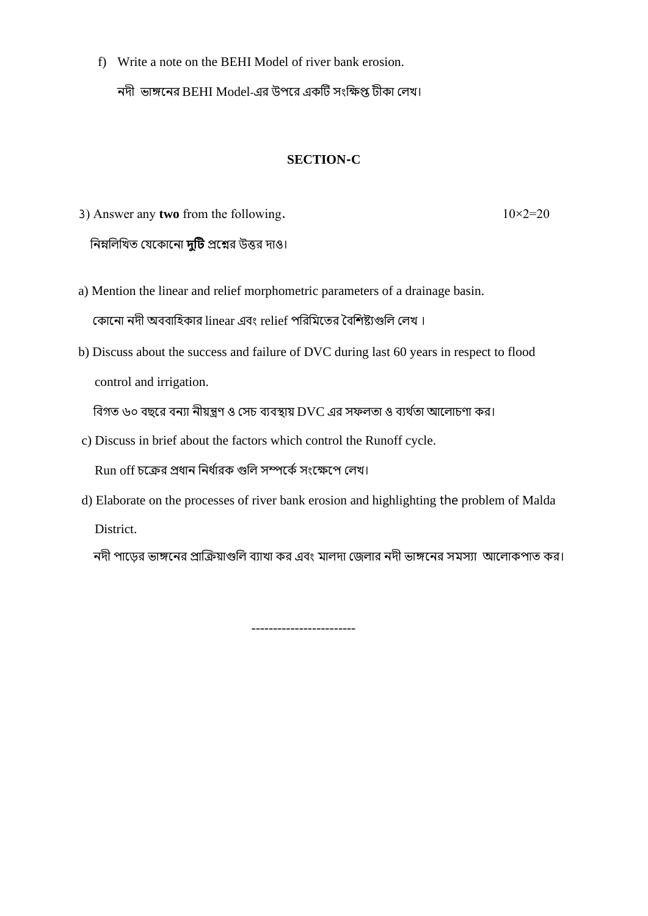f) Write a note on the BEHI Model of river bank erosion.

নদী ভাঙ্গনের BEHI Model-এর উপরে একটি সংক্ষিপ্ত টীকা লেখ।

# **SECTION-C**

- 3) Answer any **two** from the following.  $10\times2=20$ নিম্নলিখিত যেকোনো **দটি** প্রশ্নের উত্তর দাও।
- a) Mention the linear and relief morphometric parameters of a drainage basin. কোনো নদী অববাহিকার linear এবং relief পরিমিতের বৈশিষ্ট্যগুলি লেখ।
- b) Discuss about the success and failure of DVC during last 60 years in respect to flood control and irrigation.

বিগত ৬০ বছরে বন্যা নীয়ন্ত্রণ ও সেচ ব্যবস্থায় DVC এর সফলতা ও ব্যর্থতা আলোচণা কর।

c) Discuss in brief about the factors which control the Runoff cycle.

Run off চক্রের প্রধান নির্ধারক গুলি সম্পর্কে সংক্ষেপে লেখ।

d) Elaborate on the processes of river bank erosion and highlighting the problem of Malda District.

------------------------

নদী পাডের ভাঙ্গনের প্রাক্রিয়াগুলি ব্যাখা কর এবং মালদা জেলার নদী ভাঙ্গনের সমস্যা আলোকপাত কর।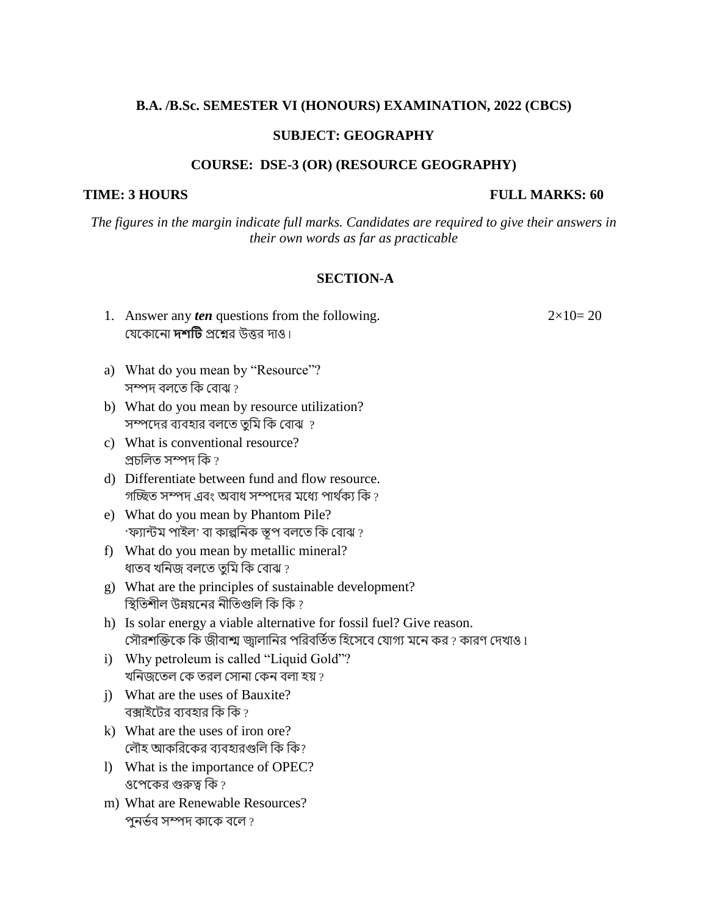#### **B.A. /B.Sc. SEMESTER VI (HONOURS) EXAMINATION, 2022 (CBCS)**

#### **SUBJECT: GEOGRAPHY**

#### **COURSE: DSE-3 (OR) (RESOURCE GEOGRAPHY)**

#### **TIME: 3 HOURS FULL MARKS: 60**

*The figures in the margin indicate full marks. Candidates are required to give their answers in their own words as far as practicable*

#### **SECTION-A**

1. Answer any *ten* questions from the following.  $2 \times 10 = 20$ যেকোনো **দশটি** প্রশ্নের উত্তর দাও ৷

- a) What do you mean by "Resource"? সম্পদ বলতে কি বোঝ  $\imath$
- b) What do you mean by resource utilization? সম্পদের ব্যবহার বলতে তুমি কি বোঝ ?
- c) What is conventional resource? প্রচলিত সম্পদ কি  $\imath$
- d) Differentiate between fund and flow resource. গচ্ছিত সম্পদ এবং অবাধ সম্পদের মধ্যে পার্থক্য কি ?
- e) What do you mean by Phantom Pile?  $\cdot$ ফ্যান্টম পাইল $\cdot$  বা কাল্পনিক স্তূপ বলতে কি বোঝ ?
- f) What do you mean by metallic mineral? ধাতব খনিজ বলতে তমি কি বোঝ ?
- g) What are the principles of sustainable development? স্থিতিশীল উন্নয়নের নীতিগুলি কি কি ?
- h) Is solar energy a viable alternative for fossil fuel? Give reason. সৌরশক্তিকে কি জীবাশ্ম জ্বালানির পরিবর্তিত হিসেবে যোগ্য মনে কর ? কারণ দেখাও l
- i) Why petroleum is called "Liquid Gold"? খনিজতেল কে তরল সোনা কেন বলা হয়  $\imath$
- j) What are the uses of Bauxite? বক্সাইটের ব্যবহার কি $\overline{\mathfrak{g}}$  ?
- k) What are the uses of iron ore? লৌহ আকরিকের ব্যবহারগুলি কি কি?
- l) What is the importance of OPEC? ওপেকের গুরুত্ব কি  $\imath$
- m) What are Renewable Resources? পুনৰ্ভব সম্পদ কাকে বলে ?